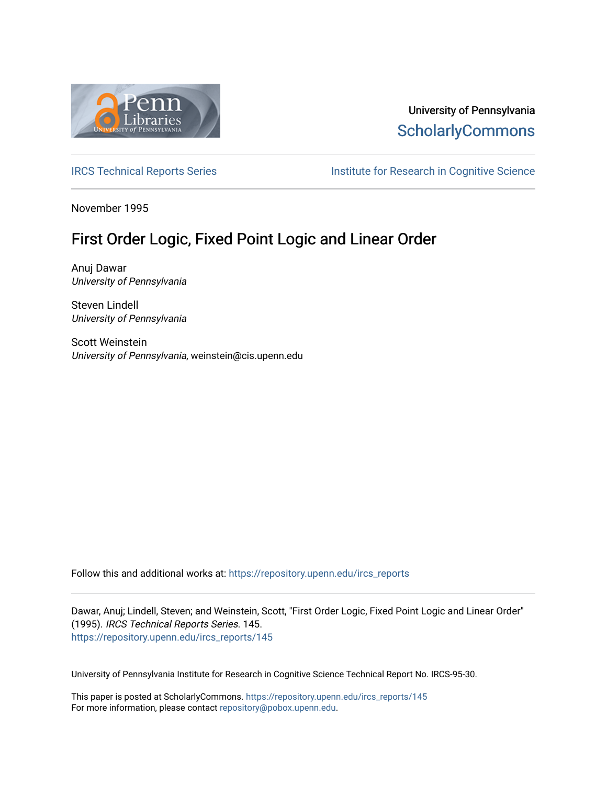

# University of Pennsylvania **ScholarlyCommons**

[IRCS Technical Reports Series](https://repository.upenn.edu/ircs_reports) **Institute for Research in Cognitive Science** 

November 1995

# First Order Logic, Fixed Point Logic and Linear Order

Anuj Dawar University of Pennsylvania

Steven Lindell University of Pennsylvania

Scott Weinstein University of Pennsylvania, weinstein@cis.upenn.edu

Follow this and additional works at: [https://repository.upenn.edu/ircs\\_reports](https://repository.upenn.edu/ircs_reports?utm_source=repository.upenn.edu%2Fircs_reports%2F145&utm_medium=PDF&utm_campaign=PDFCoverPages)

Dawar, Anuj; Lindell, Steven; and Weinstein, Scott, "First Order Logic, Fixed Point Logic and Linear Order" (1995). IRCS Technical Reports Series. 145. [https://repository.upenn.edu/ircs\\_reports/145](https://repository.upenn.edu/ircs_reports/145?utm_source=repository.upenn.edu%2Fircs_reports%2F145&utm_medium=PDF&utm_campaign=PDFCoverPages)

University of Pennsylvania Institute for Research in Cognitive Science Technical Report No. IRCS-95-30.

This paper is posted at ScholarlyCommons. [https://repository.upenn.edu/ircs\\_reports/145](https://repository.upenn.edu/ircs_reports/145) For more information, please contact [repository@pobox.upenn.edu.](mailto:repository@pobox.upenn.edu)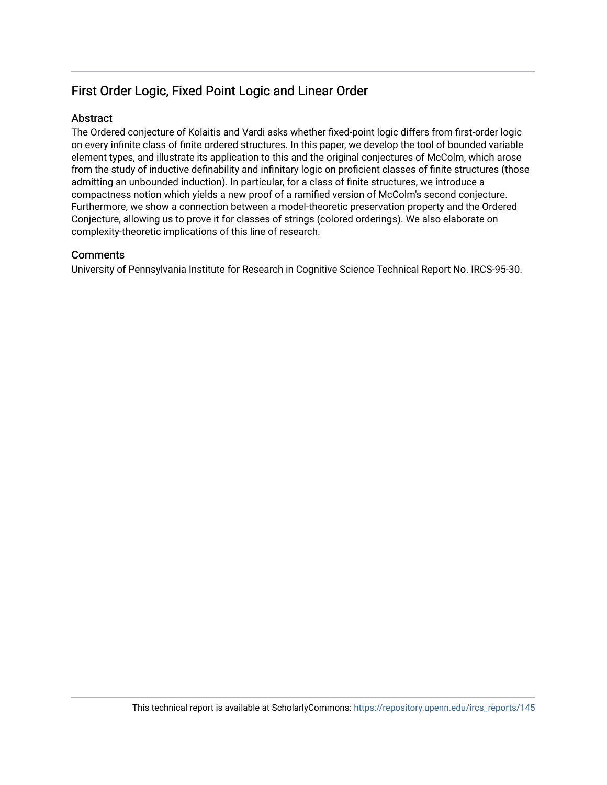# First Order Logic, Fixed Point Logic and Linear Order

## **Abstract**

The Ordered conjecture of Kolaitis and Vardi asks whether fixed-point logic differs from first-order logic on every infinite class of finite ordered structures. In this paper, we develop the tool of bounded variable element types, and illustrate its application to this and the original conjectures of McColm, which arose from the study of inductive definability and infinitary logic on proficient classes of finite structures (those admitting an unbounded induction). In particular, for a class of finite structures, we introduce a compactness notion which yields a new proof of a ramified version of McColm's second conjecture. Furthermore, we show a connection between a model-theoretic preservation property and the Ordered Conjecture, allowing us to prove it for classes of strings (colored orderings). We also elaborate on complexity-theoretic implications of this line of research.

## **Comments**

University of Pennsylvania Institute for Research in Cognitive Science Technical Report No. IRCS-95-30.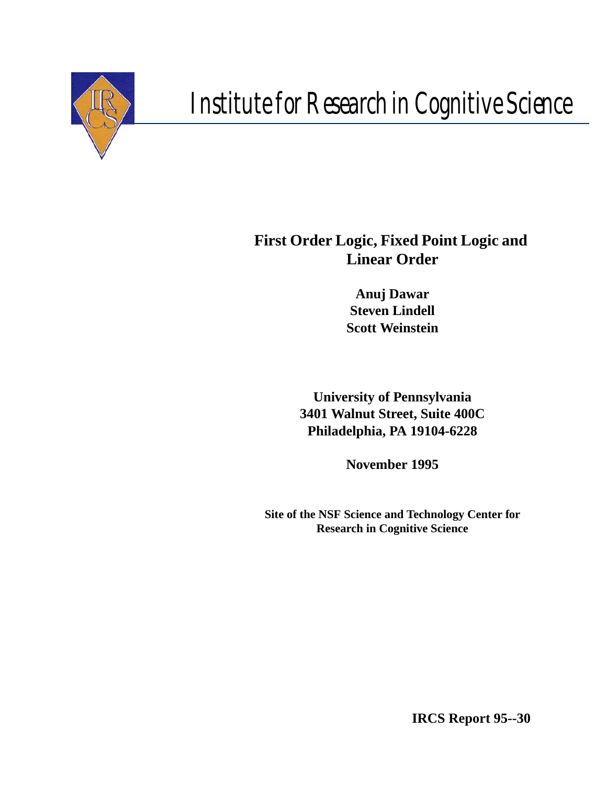

# *Institute for Research in Cognitive Science*

# **First Order Logic, Fixed Point Logic and Linear Order**

**Anuj Dawar Steven Lindell Scott Weinstein**

**University of Pennsylvania 3401 Walnut Street, Suite 400C Philadelphia, PA 19104-6228**

**November 1995**

**Site of the NSF Science and Technology Center for Research in Cognitive Science**

**IRCS Report 95--30**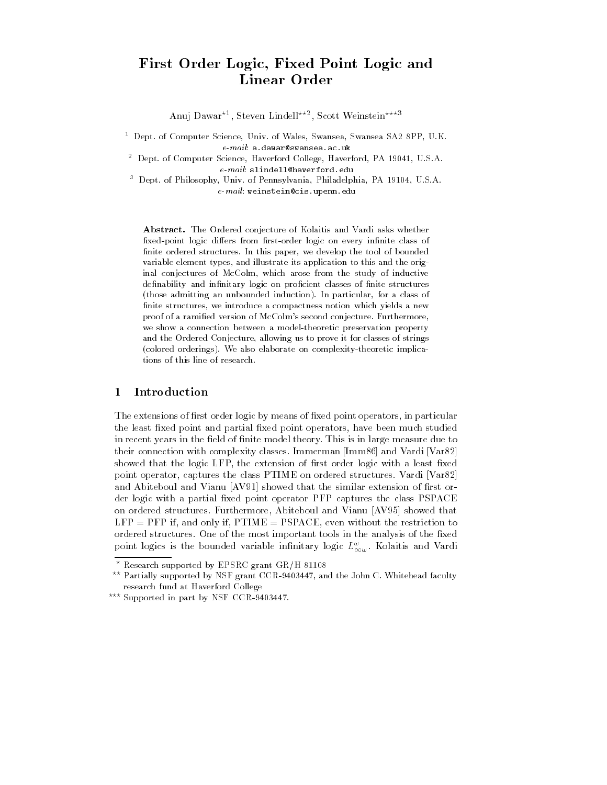# First Order Logic, Fixed Point Logic and Linear Order

Anuj Dawar<sup>er</sup>, Steven Linden<sup>ere</sup>, Scott Weinstein-Alex

– Dept. of Computer Science, Univ. of Wales, Swansea, Swansea SA2 8PP, U.K. –  $e$ -mail: a.dawar@swansea.ac.uk

- Dept. of Computer Science, Haverford College, Haverford, PA 19041, U.S.A.  $e$ -mail: slindell@haverford.edu

– Dept. of Philosophy, Univ. of Pennsylvania, Philadelphia, PA 19104, U.S.A. –  $e$ -mail: weinstein@cis.upenn.edu

Abstract. The Ordered conjecture of Kolaitis and Vardi asks whether xed point in git die rate from and the component of the context of the component of the component of the compo finite ordered structures. In this paper, we develop the tool of bounded variable element types, and illustrate its application to this and the original conjectures of McColm, which arose from the study of inductive definability and infinitary logic on proficient classes of finite structures (those admitting an unbounded induction). In particular, for a class of finite structures, we introduce a compactness notion which yields a new proof of a ramified version of McColm's second conjecture. Furthermore, we show a connection between a model theoretic property and the state property of the state property of the st and the Ordered Conjecture, allowing us to prove it for classes of strings the colored orderings  $\mathcal{C}$  also elaborate on complexity in complexity in the complexity in the complexity in the complexity in the complexity in the complexity in the complexity in the complexity in the complexity in tions of this line of research

#### $\mathbf{1}$ Introduction

The extensions of first order logic by means of fixed point operators, in particular the least fixed point and partial fixed point operators, have been much studied in recent years in the elder is indeed the distribution of the elder measure measure to their connection with complexity classes- Immerman Imm and Vardi Var showed that the logic LFP, the extension of first order logic with a least fixed point operator captures the class PTIME on ordered structures- Vardi Var and Abiteboul and Vianu  $[AV91]$  showed that the similar extension of first order logic with a partial fixed point operator PFP captures the class PSPACE on ordered structures- returned that is the structure and via showed that  $\sim$  $LFP = PFP$  if, and only if,  $PTIME = PSPACE$ , even without the restriction to ordered structures- One of the most important tools in the analysis of the xed point logics is the bounded variable infinitary logic  $L_{\infty \omega}^{\ast}$ . Kolaitis and Vardi

 $\degree$  Kesearch supported by EPSRC grant GR/H 81108  $\degree$ 

 $\cdots$  Partially supported by NSF grant CCR-9403447, and the John C. Whitehead faculty  $\cdots$ research fund at Haverford College

<sup>&</sup>quot;"" Supported in part by NSF CCR-9403447.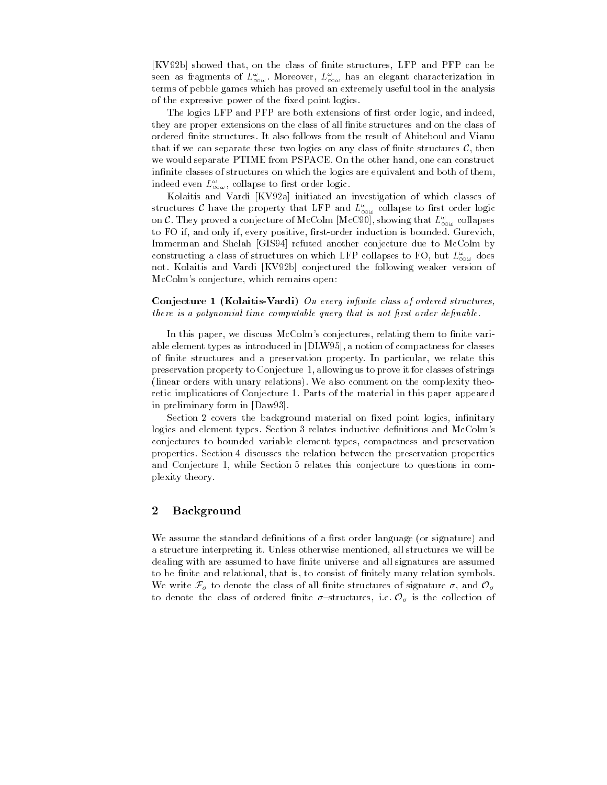[KV92b] showed that, on the class of finite structures, LFP and PFP can be seen as fragments of  $L^{\infty}_{\infty \omega}$ . Moreover,  $L^{\infty}_{\infty \omega}$  has an elegant characterization in terms of pebble games which has proved an extremely useful tool in the analysis of the expressive power of the fixed point logics.

The logics LFP and PFP are both extensions of first order logic, and indeed, they are proper extensions on the class of all finite structures and on the class of that if we can separate these two logics on any class of finite structures  $\mathcal{C}$ , then we would separate PTIME from PSPACE- the other hand one can construct the other hand one can construct the oth infinite classes of structures on which the logics are equivalent and both of them, indeed even  $L^{\omega}_{\infty \omega}$ , collapse to first order logic.

Kolaitis and Vardi [KV92a] initiated an investigation of which classes of structures C have the property that LFP and  $L_{\infty\omega}^{\omega}$  collapse to first order logic on  $\mathcal C.$  They proved a conjecture of McColm [McC90], showing that  $L_{\infty \omega}^{\omega}$  collapses to FO if and only if every positive rst order induction is bounded- Gurevich Immerman and Shelah [GIS94] refuted another conjecture due to McColm by constructing a class of structures on which LFP collapses to FO, but  $L^{\omega}_{\infty\omega}$  does not- Kolaitis and Vardi KVb conjectured the following weaker version of McColm's conjecture, which remains open:

Conjecture Kolaitis-Vardi On every innite class of ordered structures there is a polynomial time computable query that is not first order definable.

In this paper, we discuss  $McColm's$  conjectures, relating them to finite variable element types as introduced in [DLW95], a notion of compactness for classes of the structures and a preservation property- for particular we relate this we preservation property to Conjecture 1, allowing us to prove it for classes of strings linear orders with unary relations- We also comment on the complexity theo retic implications of Conjecture - Parts of the material in this paper appeared in preliminary form in [Daw93].

Section 2 covers the background material on fixed point logics, infinitary logics and element types- Section relates inductive denitions and McColms conjectures to bounded variable element types, compactness and preservation properties- Section and relation between the relation between the preservation between the preservation proper and Conjecture 1, while Section 5 relates this conjecture to questions in complexity theory-

#### $\boldsymbol{2}$ Background

We assume the standard definitions of a first order language (or signature) and a structure interpreting it- contains all structures will be will be will be will be will be a dealing with are assumed to have finite universe and all signatures are assumed to be finite and relational, that is, to consist of finitely many relation symbols. We write  $\mathcal{F}_{\sigma}$  to denote the class of all finite structures of signature  $\sigma$ , and  $\mathcal{O}_{\sigma}$ to denote the class of ordered finite  $\sigma$ -structures, i.e.  $\mathcal{O}_{\sigma}$  is the collection of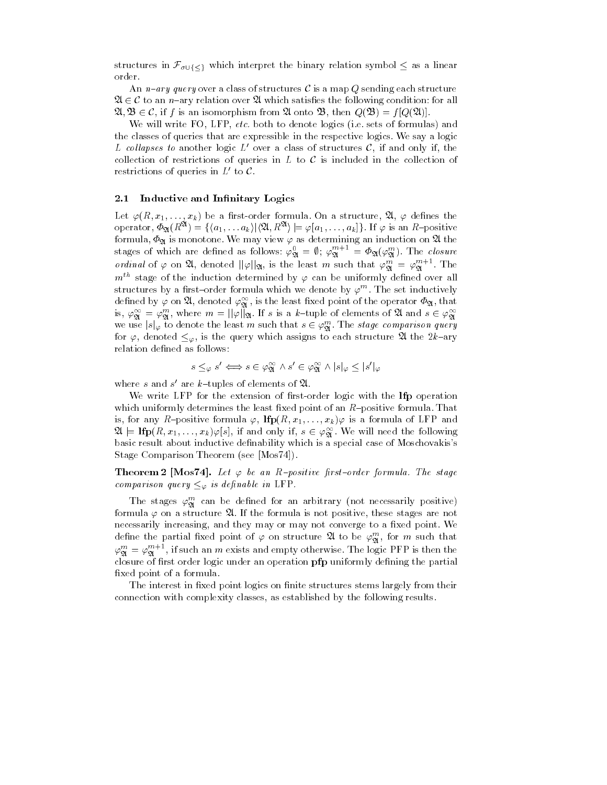structures in  $\mathcal{F}_{\sigma \cup \{\leq\}}$  which interpret the binary relation symbol  $\leq$  as a linear order-

An *n*-*ary query* over a class of structures  $\mathcal{C}$  is a map Q sending each structure order.<br>An *n–ary query* over a class of structures  $C$  is a map  $Q$  sending each structure<br> $\mathfrak{A} \in \mathcal{C}$  to an *n–*ary relation over  $\mathfrak A$  which satisfies the following condition: for all An *n*-ary query over a class of structures  $C$  is a map  $Q$  sending each stri $\mathfrak{A} \in \mathcal{C}$  to an *n*-ary relation over  $\mathfrak{A}$  which satisfies the following condition:<br> $\mathfrak{A}, \mathfrak{B} \in \mathcal{C}$ , if  $f$  is an isomorp

with the contract of the sets of the sets of the sets of the sets of the sets of  $\mathcal{S}$ the classes of quelles that are explosively in the respective logical color any a logic. L collapses to another logic L' over a class of structures  $\mathcal{C}$ , if and only if, the collection of restrictions of queries in L to C is included in the collection of restrictions of queries in  $L'$  to  $\mathcal{C}$ .

#### 2.1 Inductive and Infinitary Logics

Let  $\varphi(R, x_1, \ldots, x_k)$  be a first-order formula. On a structure,  $\mathfrak{A}, \varphi$  defines the 2.1 Inductive and Infinitary Logies<br>Let  $\varphi(R, x_1, \ldots, x_k)$  be a first-order formula. On a struction<br>operator,  $\Phi_{\mathfrak{A}}(R^{\mathfrak{A}}) = \{ \langle a_1, \ldots a_k \rangle | \langle \mathfrak{A}, R^{\mathfrak{A}} \rangle \models \varphi[a_1, \ldots, a_k] \}.$ If is a result of the Report of the Report of the Report of the Report of the Report of the Report of the Report of the Report of the Report of the Report of the Report of the Report of the Report of the Report of the Repo formula,  $\varPhi_{\mathfrak{A}}$  is monotone. We may view  $\varphi$  as determining an induction on  $\mathfrak A$  the stages of which are defined as follows:  $\varphi_{\mathfrak{A}}^0 = \emptyset$ ;  $\varphi_{\mathfrak{A}}^{m+1} = \Phi_{\mathfrak{A}}(\varphi_{\mathfrak{A}}^m)$ . The *closure* ordinal of  $\varphi$  on  $\mathfrak{A}$ , denoted  $||\varphi||_{\mathfrak{A}}$ , is the least m such that  $\varphi_{\mathfrak{A}}^m = \varphi_{\$  $m^{th}$  stage of the induction determined by  $\varphi$  can be uniformly defined over all structures by a first-order formula which we denote by  $\varphi^{...}$  . The set inductively defined by  $\varphi$  on  $\mathfrak{A},$  denoted  $\varphi^{\infty}_{\mathfrak{A}}$  , is the least fixed point of the operator  $\varPhi_{\mathfrak{A}},$  that is,  $\varphi^{\infty}_{\frak A}=\varphi^m_{\frak A}$ , where  $m=||\varphi||_{\frak A}.$  If  $s$  is a  $k-$ tuple of elements of  $\frak A$  and  $s\in\varphi^{\infty}_{\frak A}$ we use  $|s|_\varphi$  to denote the least  $m$  such that  $s\in \varphi_{\mathfrak A}^m.$  The stage comparison query for  $\varphi$ , denoted  $\leq_{\varphi}$ , is the query which assigns to each structure  $\mathfrak A$  the 2k-ary<br>relation defined as follows:<br> $s \leq_{\varphi} s' \Longleftrightarrow s \in \varphi_{\mathfrak A}^{\infty} \wedge s' \in \varphi_{\mathfrak A}^{\infty} \wedge |s|_{\varphi} \leq |s'|_{\varphi}$ relation defined as follows:

$$
s\leq_\varphi s'\Longleftrightarrow s\in\varphi^\infty_{\mathfrak{A}}\wedge s'\in\varphi^\infty_{\mathfrak{A}}\wedge|s|_\varphi\leq|s'|_\varphi
$$

where s and s' are k-tuples of elements of  $\mathfrak A$ .

We write  $\mathbf{A}$  for the extension of  $\mathbf{A}$  and  $\mathbf{A}$  are light the light the light the light the light the light the light the light the light the light the light the light the light the light the light the light which uniformly determines the least  $\mathbb{R}^n$  and  $\mathbb{R}^n$  and  $\mathbb{R}^n$  and  $\mathbb{R}^n$  and  $\mathbb{R}^n$  and  $\mathbb{R}^n$  and  $\mathbb{R}^n$  and  $\mathbb{R}^n$  and  $\mathbb{R}^n$  and  $\mathbb{R}^n$  and  $\mathbb{R}^n$  and  $\mathbb{R}^n$  and  $\mathbb{$ is for any report for any result of  $\mathbb{R}^n$  is a formula of  $\mathbb{R}^n$  is a formula of  $\mathbb{R}^n$  $\mathfrak{A} \models \mathbf{Ifp}(R, x_1, \ldots, x_k)\varphi[s],$  if and only if,  $s \in \varphi^{\infty}_{\mathfrak{A}}$ . We will need the following basic result about inductive definability which is a special case of Moschovakis's Stage Comparison Theorem (see  $[Mos74]$ ).

Theorem Mos Let be an Rpositive rstorder formula- The stage comparison query  $\leq_{\varphi}$  is definable in LFP.

The stages  $\varphi_{\mathfrak{A}}^{\alpha}$  can be defined for an arbitrary (not necessarily positive) formula  $\varphi$  on a structure  $\mathfrak A$ . If the formula is not positive, these stages are not necessarily increasing and they may or may not converge to a xed point- We define the partial fixed point of  $\varphi$  on structure  $\mathfrak A$  to be  $\varphi_{\mathfrak A}^m,$  for  $m$  such that  $\varphi_{\mathfrak{A}}^{\scriptscriptstyle\bullet}=\varphi_{\mathfrak{A}}^{\scriptscriptstyle\bullet}$  " , it such an  $m$  exists and empty otherwise. The logic PFP is then the closure of first order logic under an operation  $pfp$  uniformly defining the partial fixed point of a formula.

The interest in fixed point logics on finite structures stems largely from their connection with complexity classes, as established by the following results.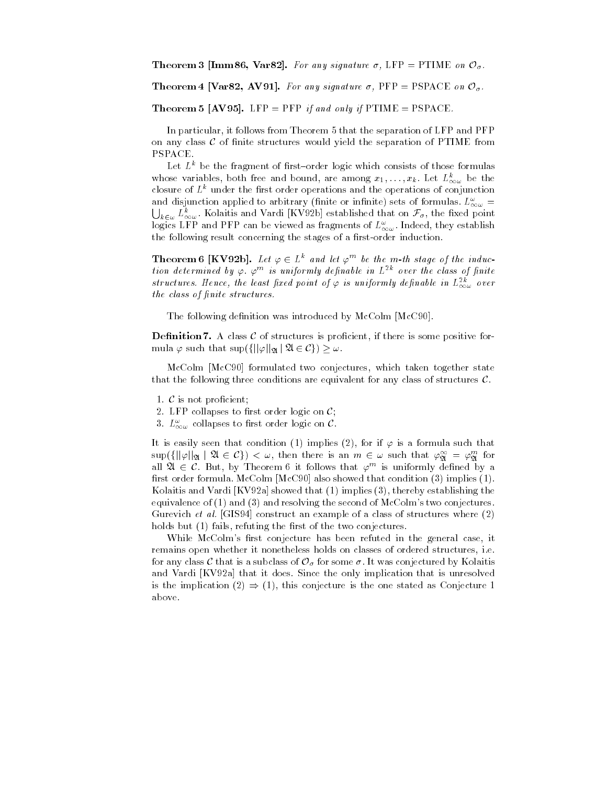**Theorem 3 [Imm86, Var82].** For any signature  $\sigma$ , LFP = PTIME on  $\mathcal{O}_{\sigma}$ .

**Theorem 4 [Var82, AV91].** For any signature  $\sigma$ , PFP = PSPACE on  $\mathcal{O}_{\sigma}$ .

The contract of the contract of the contract of  $\mathcal{A}$  and only if  $\mathcal{A}$  and only if  $\mathcal{A}$  and only if  $\mathcal{A}$ 

In particular, it follows from Theorem 5 that the separation of LFP and PFP on any class  $C$  of finite structures would yield the separation of PTIME from PSPACE.

Let  $L^k$  be the fragment of first-order logic which consists of those formulas whose variables, both free and bound, are among  $x_1, \ldots, x_k$ . Let  $L^{\infty}_{\infty \omega}$  be the closure of  $L^k$  under the first order operations and the operations of conjunction and disjunction applied to arbitrary (infite or infinite) sets of formulas.  $L^{\infty}_{\infty \omega} =$  $\bigcup_{k\in\omega}L_{\infty}^k$ . Kolaitis and Vardi [KV92b] established that on  $\mathcal{F}_\sigma,$  the fixed point logics LFP and PFP can be viewed as fragments of  $L^{\infty}_{\infty \omega}$  . Indeed, they establish the following result concerning the stages of a rst order induction-

**Theorem 6** [KV92b]. Let  $\varphi \in L^k$  and let  $\varphi^m$  be the m-th stage of the induction aetermined by  $\varphi$  .  $\varphi$  is uniformly definable in  $L^{++}$  over the class of finite structures. Hence, the least jixed point of  $\varphi$  is uniformly definable in  $L_{\infty\omega}^-\,$  over the class of finite structures.

The following definition was introduced by McColm  $[{\rm McC90}]$ .

**Definition 7.** A class  $\mathcal{C}$  of structures is proficient, if there is some positive formula  $\varphi$  such that  $\sup(\{\|\varphi\|_{\mathfrak{A}} \mid \mathfrak{A} \in \mathcal{C}\}) \geq \omega$ .

McColm [McC90] formulated two conjectures, which taken together state that the following three conditions are equivalent for any class of structures  $\mathcal{C}$ .

- 1.  $\mathcal C$  is not proficient;
- 2. LFP collapses to first order logic on  $\mathcal{C}_{1}$
- 3.  $L_{\infty\omega}^{\omega}$  collapses to first order logic on  $\mathcal{C}_+$

It is easily seen that condition (1) implies (2), for if  $\varphi$  is a formula such that It is easily seen that condition (1) implies (2), for if  $\varphi$  is a formula such that<br>sup( $\{||\varphi||_{{\mathfrak{A}}} \mid {\mathfrak{A}} \in C\}$ )  $\langle \omega \rangle$ , then there is an  $m \in \omega$  such that  $\varphi^{\infty}_{{\mathfrak{A}}} = \varphi^m_{{\mathfrak{A}}}$  for It is easily seen<br>sup({||φ||<sub>Ω(</sub> | Ղ<br>all 2l ∈ C. But. But, by Ineorem o it follows that  $\varphi^{...}$  is uniformly defined by a rst order formula- McColm McColm McColm McColm McColm McColm McColm McColm McColm McColm McColm McColm McColm Kolaitis and Vardi [KV92a] showed that  $(1)$  implies  $(3)$ , thereby establishing the equivalence of  $(1)$  and  $(3)$  and resolving the second of McColm's two conjectures. Gurevich et al- GIS construct an example of a class of structures where holds but  $(1)$  fails, refuting the first of the two conjectures.

While McColm's first conjecture has been refuted in the general case, it remains open whether it nonetheless holds on classes of ordered structures i-efor any class  ${\cal C}$  that is a subclass of  ${\cal O}_\sigma$  for some  $\sigma.$  It was conjectured by Kolaitis and varding the variation that it doesn't the only implication that in unresolved the state of the only of the is the implication  $(2) \Rightarrow (1)$ , this conjecture is the one stated as Conjecture 1 above.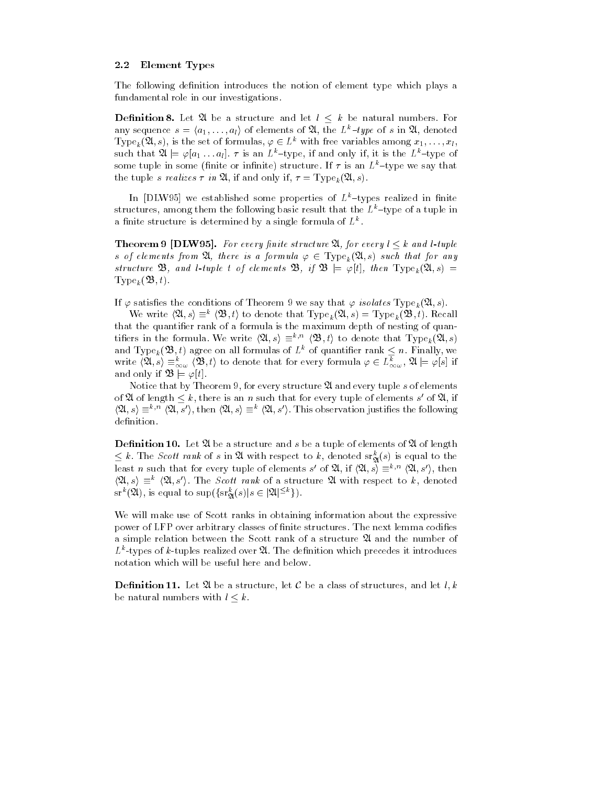#### Element Types

The following definition introduces the notion of element type which plays a fundamental role in our investigations.

**Definition 8.** Let  $\mathfrak A$  be a structure and let  $l \, \leq \, k$  be natural numbers. For any sequence  $s = \langle a_1, \ldots, a_l \rangle$  of elements of  $\mathfrak{A}$ , the L<sup>k</sup>-type of s in  $\mathfrak{A}$ , denoted  $\text{Type}_k(\mathfrak{A},s),$  is the set of formulas,  $\varphi \in L^k$  with free variables among  $x_1, \ldots, x_l,$ such that  $\mathfrak{A} \models \varphi[a_1 \dots a_l]$ .  $\tau$  is an  $L^k$ -type, if and only if, it is the  $L^k$ -type of some tuple in some (innite or infinite) structure. If  $\tau$  is an  $L$  -type we say that the tuple s realizes  $\tau$  in  $\mathfrak{A}$ , if and only if,  $\tau = \text{Type}_k(\mathfrak{A}, s)$ .

In [DLW95] we established some properties of  $L^k$ -types realized in finite structures, among them the following basic result that the  $L^k$ -type of a tuple in a nime structure is determined by a single formula of  $L^\ast$  .

**Theorem 9 [DLW95].** For every finite structure  $\mathfrak{A}$ , for every  $l \leq k$  and l-tuple s of elements from  $\mathfrak{A}$ , there is a formula  $\varphi \in \mathrm{Type}_k(\mathfrak{A}, s)$  such that for any structure B, and l-tuple t of elements B, if  $\mathfrak{B} \models \varphi[t]$ , then  $Type_k(\mathfrak{A}, s) =$  $Type_k(\mathfrak{B}, t)$ .

If  $\varphi$  satisfies the conditions of Theorem 9 we say that  $\varphi$  isolates Type<sub>k</sub>(2, s). satisfies the conditions<br>We write  $\langle \mathfrak{A},s\rangle\equiv^k\langle \mathfrak{B},\rangle$ 

 $\langle \mathfrak{B},t\rangle$  to denote that  $\text{Type}_k(\mathfrak{A},s) = \text{Type}_k(\mathfrak{B},t)$ . Recall that the quantifier rank of a formula is the maximum depth of nesting of quan-We write  $\langle \mathfrak{A}, s \rangle \equiv^k \langle \mathfrak{B}, t \rangle$  to denote that  $\text{Type}_k(\mathfrak{A}, s) = \text{Type}_k(\mathfrak{B}, t)$ . Recall that the quantifier rank of a formula is the maximum depth of nesting of quantifiers in the formula. We write  $\langle \mathfrak{A}, s \rangle \$ and Type $_{k}(\mathfrak{B},t)$  agree on all formulas of  $L^{k}$  of quantifier rank  $\leq n.$  Finally, we write  $\langle \mathfrak{A}, s \rangle \equiv_{\infty \omega}^k \langle \mathfrak{B}, t \rangle$  to denote that for every formula  $\varphi \in L_{\infty \omega}^k$ ,  $\mathfrak{A} \models \varphi[s]$  if and only if  $\mathfrak{B} \models \varphi[t]$ .

Notice that by Theorem 9, for every structure  $\mathfrak A$  and every tuple s of elements of  $\mathfrak A$  of length  $\leq k$ , there is an n such that for every tuple of elements s' of  $\mathfrak A$ , if Notice that by Theorem 9, for every structure  $\mathfrak A$  and every tuple s of elements<br>of  $\mathfrak A$  of length  $\leq k$ , there is an n such that for every tuple of elements s' of  $\mathfrak A$ , if<br> $\langle \mathfrak A, s \rangle \equiv^{k,n} \langle \mathfrak A, s' \rangle$ , then definition.

**Definition 10.** Let  $\mathfrak A$  be a structure and s be a tuple of elements of  $\mathfrak A$  of length  $\leq k$ . The *Scott rank* of s in  $\mathfrak A$  with respect to  $k$ , denoted  $\mathrm{sr}^k_{\mathfrak A}(s)$  is equal to the **Definition 10.** Let  $\mathfrak A$  be a structure and  $s$  be a tuple of elements of  $\mathfrak A$  of length  $\leq k$ . The *Scott rank* of  $s$  in  $\mathfrak A$  with respect to  $k$ , denoted  $\operatorname{sr}^k_{\mathfrak A}(s)$  is equal to the least  $n$  such th  $\leq k$ . The Scot $\text{least}\; n\;\text{such}\; \text{tl} \ \langle \mathfrak{A},s\rangle \equiv^k \langle \mathfrak{A},$  $\langle \mathfrak{A}, s' \rangle$ . The *Scott rank* of a structure  $\mathfrak A$  with respect to k, denoted least *n* such that for every tuple of element  $\langle \mathfrak{A}, s \rangle \equiv^k \langle \mathfrak{A}, s' \rangle$ . The *Scott rank* of a stru sr<sup>k</sup> $(\mathfrak{A})$ , is equal to sup({sr<sup>k</sup><sub> $g(s)$ </sub>| $s \in |\mathfrak{A}|^{\leq k}$ }).

We will make use of Scott ranks in obtaining information about the expressive power arbitrary classes of the next lemma codies structures- and next lemma codies in the structure a simple relation between the Scott rank of a structure  $\mathfrak A$  and the number of  $L^k$ -types of k-tuples realized over  $\mathfrak{A}$ . The definition which precedes it introduces notation which will be useful here and below-

**Definition 11.** Let  $\mathfrak{A}$  be a structure, let C be a class of structures, and let l, k be natural numbers with  $l \leq k$ .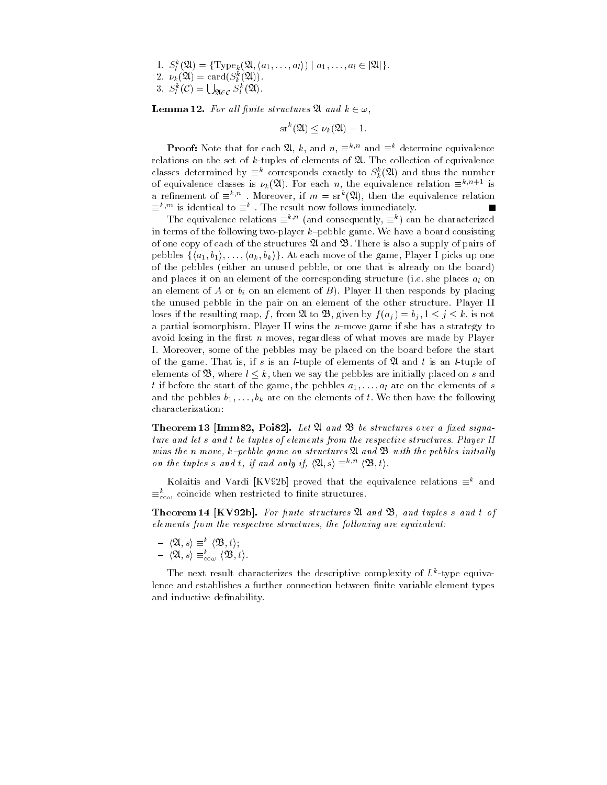1.  $S_l^k(\mathfrak{A}) = \{ \text{Type}_k(\mathfrak{A}, \langle a_1, \ldots, a_l \rangle) \mid a_1, \ldots, a_l \in |\mathfrak{A}| \}.$ 2.  $\nu_k(\mathfrak{A}) = \text{card}(S_k^k(\mathfrak{A})).$ 3.  $S_l^k(\mathcal{C}) = \bigcup_{\mathfrak{A} \in \mathcal{C}} S_l^k(\mathfrak{A})$ .

**Lemma 12.** For all finite structures  $\mathfrak{A}$  and  $k \in \omega$ ,

$$
\operatorname{sr}^k(\mathfrak{A}) \leq \nu_k(\mathfrak{A}) - 1.
$$

**Proof:** Note that for each  $\mathfrak{A}, k$ , and  $n \equiv k^n$  and  $k \equiv k$  determine equivalence relations on the set of k-tuples of elements of  $\mathfrak{A}$ . The collection of equivalence classes determined by  $\equiv^k$  corresponds exactly to  $S_k^k(\mathfrak{A})$  and thus the number of equivalence classes is  $\nu_k(\mathfrak{A})$ . For each n, the equivalence relation  $\equiv^{k,n+1}$  is a refinement of  $\equiv^{k,n}$  . Moreover, if  $m = \text{sr}^k(\mathfrak{A})$ , then the equivalence relation  $\equiv^{k,m}$  is identical to  $\equiv^k$ . The result now follows immediately.

The equivalence relations  $\equiv^{k,n}$  (and consequently,  $\equiv^k$ ) can be characterized in terms of the following two player kpebble game- We have a board consisting of one copy of each of the structures  $\mathfrak A$  and  $\mathfrak B$ . There is also a supply of pairs of pebbles  $\{\langle a_1, b_1 \rangle, \ldots, \langle a_k, b_k \rangle\}$ . At each move of the game, Player I picks up one of the pebbles (either an unused pebble, or one that is already on the board) and places it can have corrected to the corresponding structure interviews places and the corrected the corrected of  $\sim$ an element of A or bi on an element of B-), when the entire field was by placing the sounds by placing the set the unused pebble in the pair on an element of the other structure- Player II loses if the resulting map, f, from  $\mathfrak A$  to  $\mathfrak B$ , given by  $f(a_j) = b_j$ ,  $1 \leq j \leq k$ , is not a particle is the new particle in the new top it wins to game if she has a strategy to avoid losing in the first  $n$  moves, regardless of what moves are made by Player I- Moreover some of the pebbles may be placed on the board before the start of the game. That is, if s is an *l*-tuple of elements of  $\mathfrak A$  and t is an *l*-tuple of elements of  $\mathfrak{B}$ , where  $l \leq k$ , then we say the pebbles are initially placed on s and the start of the start of the start of the pebbles as  $-1$  -defined by  $-1$  -defined by  $-1$ and the pebbels b  $\Box$  are on the following of the following of the following of the following of the following of the following of the following of the following of the following of the following of the following of the characterization

**Theorem 13 [Imm82, Poi82].** Let  $\mathfrak{A}$  and  $\mathfrak{B}$  be structures over a fixed signature and the tuples of elements from the respective structures-term the respective structures-term the respective structureswins the n move, k-pebble game on structures  $\mathfrak A$  and  $\mathfrak B$  with the pebbles initially on the tuples s and t, if and only if,  $\langle \mathfrak{A}, s \rangle \equiv^{k,n} \langle \mathfrak{B}, t \rangle$ .

Kolaitis and Vardi [KV92b] proved that the equivalence relations  $\equiv^k$  and  $\equiv_{\infty\omega}^k$  coincide when restricted to finite structures.

**Theorem 14 [KV92b].** For finite structures  $\mathfrak{A}$  and  $\mathfrak{B}$ , and tuples s and t of elements from the respective structures the fol lowing are equivalent lements from the<br> $- \langle \mathfrak{A}, s \rangle \equiv^k \langle \mathfrak{B},$ 

$$
= \langle \mathfrak{A}, s \rangle \equiv^k \langle \mathfrak{B}, t \rangle;
$$
  
=  $\langle \mathfrak{A}, s \rangle \equiv^k_{\infty} \omega \langle \mathfrak{B}, t \rangle.$ 

The next result characterizes the descriptive complexity of L<sup>e</sup>-type equivalence and establishes a further connection between finite variable element types and inductive definability.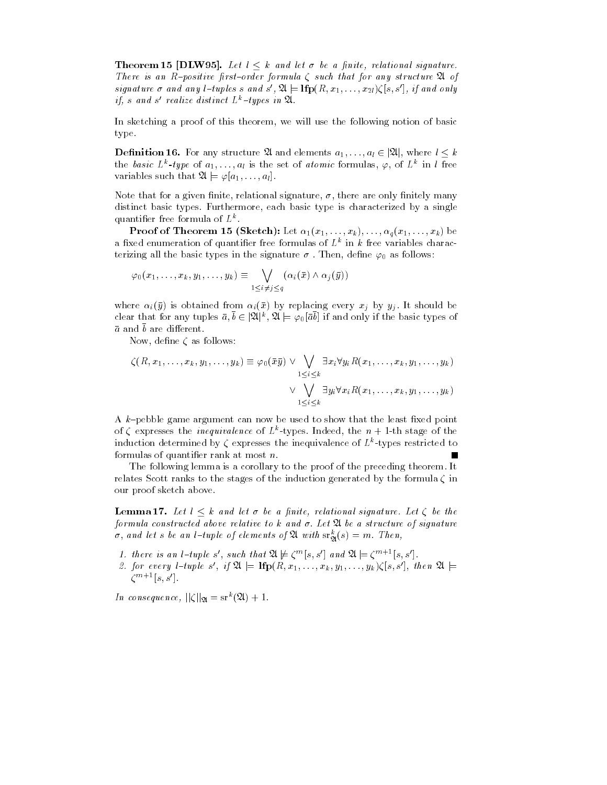**Theorem 15 [DLW95].** Let  $l \leq k$  and let  $\sigma$  be a finite, relational signature. There is an R-positive first-order formula  $\zeta$  such that for any structure  $\mathfrak A$  of signature  $\sigma$  and any l-tuples s and s',  $\mathfrak{A} \models \mathbf{Ifp}(R, x_1, \ldots, x_{2l}) \zeta[s, s']$ , if and only if, s and s' realize distinct  $L^k$ -types in  $\mathfrak A$ .

In sketching a proof of this theorem, we will use the following notion of basic type. type.<br> **Definition 16.** For any structure  $\mathfrak{A}$  and elements  $a_1, \ldots, a_l \in |\mathfrak{A}|$ , where  $l \leq k$ 

the *basic*  $L^*$ -type of  $a_1, \ldots, a_l$  is the set of *atomic* formulas,  $\varphi$ , of  $L^*$  in  $l$  free variables such that  $\mathfrak{A} \models \varphi[a_1, \ldots, a_l].$ 

Note that for a given finite, relational signature,  $\sigma$ , there are only finitely many asic terms types-basic types-basic type is characterized by a single type is characterized by a singlet of quantifier free formula of  $L^{\ast}$  .

Proof of Theorem Sketch Let x - - -xk - - - qx---xk be a iixed enumeration of quantifier free formulas of  $L^+$  in  $\kappa$  free variables characterizing all the basic types in the signature  $\epsilon$  to matter  $\mu$  ( as follows)

$$
\varphi_0(x_1,\ldots,x_k,y_1,\ldots,y_k)\equiv\bigvee_{1\leq i\neq j\leq q}(\alpha_i(\bar{x})\wedge\alpha_j(\bar{y}))
$$

is by replacing to the contract of the by  $\{i,j\}$  , is obtained from  $\{j\}$  , if  $j$  , if shown is the contract of clear that for any tuples  $\bar{a}, b \in |\mathfrak{A}|^k$ ,  $\mathfrak{A} \models \varphi_0[\bar{a}b]$  if and only if the basic types of  $\lim_{\delta \to 0} \alpha_i(\bar{x})$  b<br>  $\bar{b} \in |\mathfrak{A}|^k$   $\mathfrak{A}$ a anu v are umerent.

Now, define  $\zeta$  as follows:

$$
\zeta(R, x_1, \ldots, x_k, y_1, \ldots, y_k) \equiv \varphi_0(\bar{x}\bar{y}) \vee \bigvee_{1 \leq i \leq k} \exists x_i \forall y_i R(x_1, \ldots, x_k, y_1, \ldots, y_k)
$$
  

$$
\vee \bigvee_{1 \leq i \leq k} \exists y_i \forall x_i R(x_1, \ldots, x_k, y_1, \ldots, y_k)
$$
  

$$
\exists i \leq k
$$

A  $k$ -pebble game argument can now be used to show that the least fixed point of  $\zeta$  expresses the *inequivalence* of  $L$  -types. Indeed, the  $n + 1$ -th stage of the induction determined by  $\zeta$  expresses the inequivalence of  $L^*$  -types restricted to formulas of quantifier rank at most  $n$ .

The following lemma is a corollary to the proof of the preceding theorem- It relates Scott ranks to the stages of the induction generated by the formula  $\zeta$  in our proof sketch above.

**Lemma 17.** Let  $l \leq k$  and let  $\sigma$  be a finite, relational signature. Let  $\zeta$  be the formula constructed above relative to k and  $\sigma$ . Let  $\mathfrak A$  be a structure of signature  $\sigma,$  and let s be an l-tuple of elements of  $\mathfrak A$  with  $\operatorname{sr}^k_{\mathfrak A}(s)=m.$  Then,

- 1. there is an *l*-tuple s', such that  $\mathfrak{A} \not\models \zeta^m[s,s']$  and  $\mathfrak{A} \models \zeta^{m+1}[s,s']$ .
- 2. for every l-tuple s', if  $\mathfrak{A} \models \text{Ifp}(R, x_1, \ldots, x_k, y_1, \ldots, y_k) \zeta[s, s']$ , then  $\mathfrak{A} \models$  $\zeta^{m+1}[s,s']$ .

In consequence,  $||\zeta||_{\mathfrak{A}} = \operatorname{sr}^k(\mathfrak{A}) + 1$ .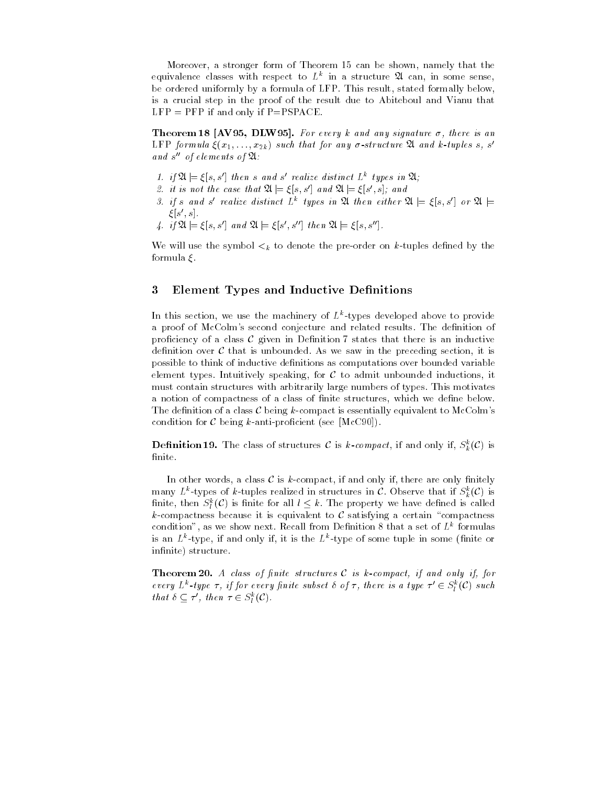Moreover, a stronger form of Theorem 15 can be shown, namely that the equivalence classes with respect to  $L^k$  in a structure  $\mathfrak A$  can, in some sense, be ordered uniformly by a formula of LFP-- this result stated formally below  $\mathcal{L}_{\mathcal{F}}$ is a crucial step in the proof of the result due to Abiteboul and Vianu that  $LFP = PFP$  if and only if  $P = PSPACE$ .

 $T$  define an av DLW define any signature is any signature is any signature is any signature is any signature is any signature is any signature is any signature is any signature is any signature is any signature is any si LFP formula  $\xi(x_1,\ldots,x_{2k})$  such that for any  $\sigma$ -structure  $\mathfrak A$  and k-tuples s, s' and  $s''$  of elements of  $\mathfrak{A}$ :

- 1. if  $\mathfrak{A} \models \xi[s, s']$  then s and s' realize distinct  $L^k$  types in  $\mathfrak{A}$ .
- 2. it is not the case that  $\mathfrak{A} \models \xi[s, s']$  and  $\mathfrak{A} \models \xi[s', s]$ ; and
- 3. if s and s' realize distinct  $L^k$  types in  $\mathfrak{A}$  then either  $\mathfrak{A} \models \xi[s,s']$  or  $\mathfrak{A} \models$  $\xi[s',s]$ .
- 4. if  $\mathfrak{A} \models \xi[s, s']$  and  $\mathfrak{A} \models \xi[s', s'']$  then  $\mathfrak{A} \models \xi[s, s'']$ .

tuples will use symbol k to denote the pre-trace the support density the problem of the problem of the second o formula  $\xi$ .

#### $\boldsymbol{3}$ Element Types and Inductive Definitions

In this section, we use the machinery of  $L^*$ -types developed above to provide a proof of McColms second conjecture and related results- related members of proficiency of a class  $\mathcal C$  given in Definition 7 states that there is an inductive definition over C that is unbounded. As we saw in the preceding section, it is possible to think of inductive denitions as computations over bounded variable element types. Intuitively speaking, for  $\mathcal C$  to admit unbounded inductions, it must contain structures with arbitrarily large numbers of types- This motivates a notion of compactness of a class of finite structures, which we define below. The definition of a class C being k-compact is essentially equivalent to McColm's condition for C being k-anti-proficient (see [McC90]).

**Definition 19.** The class of structures C is k-compact, if and only if,  $S_k^k(\mathcal{C})$  is finite.

In other words, a class  $\mathcal C$  is k-compact, if and only if, there are only finitely many L<sup>k</sup>-types of k-tuples realized in structures in C. Observe that if  $S_k^k(\mathcal{C})$  is finite, then  $S_l^k(\mathcal{C})$  is finite for all  $l\leq k$ . The property we have defined is called k-compactness because it is equivalent to C satisfying a certain "compactness" condition , as we show next. Recall from Definition  $\delta$  that a set of  $L^+$  formulas is an  $L^*$ -type, if and only if, it is the  $L^*$ -type of some tuple in some (finite or infinite) structure.

**Theorem 20.** A class of finite structures  $C$  is k-compact, if and only if, for every  $L^k$ -type  $\tau$ , if for every finite subset  $\delta$  of  $\tau$ , there is a type  $\tau' \in S^k_l(\mathcal{C})$  such that  $\delta \subseteq \tau'$ , then  $\tau \in S_l^k(\mathcal{C})$ .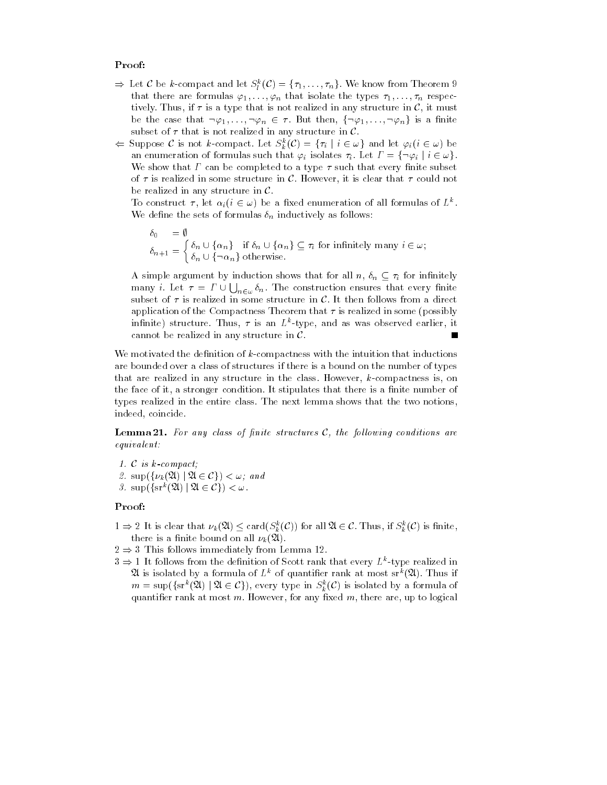### Proof

- $\Rightarrow$  Let  $\mathcal C$  be k-compact and let  $S_l^k(\mathcal C)=\{\tau_1,\ldots,\tau_n\}.$  We know from Theorem 9 that the formulas isolate the types of  $\mathbf{r}$  and  $\mathbf{r}$  is the types of  $\mathbf{r}$ tively. Thus, if  $\tau$  is a type that is not realized in any structure in  $\mathcal{C}$ , it must be the case that  $\neg \varphi_1, \ldots, \neg \varphi_n \in \tau$ . But then,  $\{\neg \varphi_1, \ldots, \neg \varphi_n\}$  is a finite subset of  $\tau$  that is not realized in any structure in  $\mathcal{C}$ .
- $\Leftarrow$  Suppose C is not k-compact. Let  $S_k^k(\mathcal{C}) = \{\tau_i \mid i \in \omega\}$  and let  $\varphi_i(i \in \omega)$  be an enumeration of formulas such that  $\varphi_i$  isolates  $\tau_i$ . Let  $\Gamma = {\neg \varphi_i \mid i \in \omega}$ . We show that  $\Gamma$  can be completed to a type  $\tau$  such that every finite subset of  $\tau$  is realized in some structure in C. However, it is clear that  $\tau$  could not be realized in any structure in  $\mathcal{C}$ .

To construct  $\tau$ , let  $\alpha_i (i \in \omega)$  be a fixed enumeration of all formulas of  $L^k$ . We define the sets of formulas  $\delta_n$  inductively as follows:

 $\delta_0 = \emptyset$  $-1$ n  $-1$   $\delta_n \cup \{\alpha_n\}$  if  $\delta_n \cup \{\alpha_n\} \subset \tau_i$  for infinitely many  $i \in \omega$ ;  $\delta_n \cup {\alpha_n}$  if  $\delta_n \cup {\alpha_n}$ <br> $\delta_n \cup {\neg \alpha_n}$  otherwise.

A simple argument by induction shows that for all  $n, \delta_n \subseteq \tau_i$  for infinitely many *i*. Let  $\tau = \Gamma \cup \bigcup_{n \in \omega} \delta_n$ . The construction ensures that every finite subset of  $\tau$  is realized in some structure in C. It then follows from a direct application of the Compactness Theorem that  $\tau$  is realized in some (possibly inhitie) structure. Thus,  $\tau$  is an  $L^*$ -type, and as was observed earlier, it  $$ cannot be realized in any structure in  $\mathcal{C}$ .

We motivated the denition of k compactness with the intuition that inductions are bounded over a class of structures if there is a bound on the number of types that are realized in any structure in the class- However k compactness is on the face of it a stronger condition- is stipulated that the number of models in  $\alpha$ types realized in the entire class- real next lemma shows that the two notions the two notions of indeed, coincide.

**Lemma 21.** For any class of finite structures  $C$ , the following conditions are equivalent

1.  $C$  is  $k$ -compact; *1.* C is k-compact;<br>2.  $\sup(\{\nu_k(\mathfrak{A}) \mid \mathfrak{A} \in \mathcal{C}\}) < \omega$ ; and 3.  $\sup(\{\operatorname{sr}^k(1)\})$  $\begin{array}{l} \mathcal{P}(m \, p \, a \, c \, t; \ \mathfrak{A}) \mid \mathfrak{A} \in \mathcal{C} \}) < \omega \, ; \ \mathfrak{a} \, n \, c \, \mathfrak{A}) \mid \mathfrak{A} \in \mathcal{C} \} ) < \omega \, . \end{array}$ 

#### Proof

- **Proof:**<br>  $1 \Rightarrow 2$  It is clear that  $\nu_k(\mathfrak{A}) \leq \text{card}(S_k^k(\mathcal{C}))$  for all  $\mathfrak{A} \in \mathcal{C}$ . Thus, if  $S_k^k(\mathcal{C})$  is finite, there is a finite bound on all  $\nu_k(\mathfrak{A})$ .
- $2 \Rightarrow 3$  This follows immediately from Lemma 12.
- $3 \Rightarrow 1$  It follows from the definition of Scott rank that every  $L^k$ -type realized in  $\mathfrak A$  is isolated by a formula of  $L^k$  of quantifier rank at most  $\mathrm{sr}^k(\mathfrak A)$ . Thus if 1 It follows from the definition of Scott rank that every  $L^k$ -type realized in  $\mathfrak{A}$  is isolated by a formula of  $L^k$  of quantifier rank at most  $\mathrm{sr}^k(\mathfrak{A})$ . Thus if  $m = \sup(\{\mathrm{sr}^k(\mathfrak{A}) \mid \mathfrak{A} \in \mathcal{C}\})$ , ev quantiers ranks at most most most most measured may concert may concert most may be required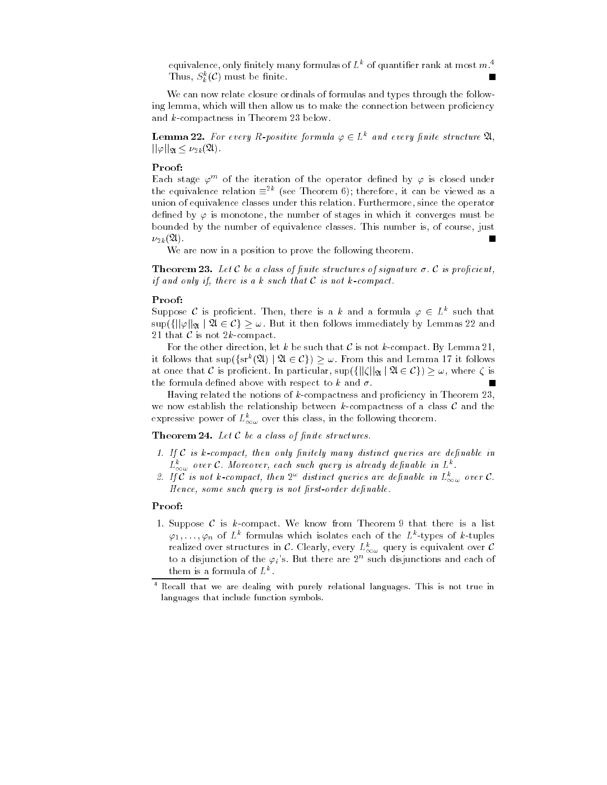equivalence, only niftlely many formulas of  $L^\ast$  of quantifier rank at most  $m_\ast$  -Thus,  $S_k^k(\mathcal{C})$  must be finite.

We can now relate closure ordinals of formulas and types through the following lemma, which will then allow us to make the connection between proficiency and keep and keep and keep and keep and below-below-below-below-below-below-below-below-below-below-below-belo

**Lemma 22.** For every R-positive formula  $\varphi \in L^k$  and every finite structure  $\mathfrak{A}$ ,  $||\varphi||_{\mathfrak{A}} \leq \nu_{2k}(\mathfrak{A}).$ 

#### Proof

Each stage  $\varphi^{\ldots}$  of the iteration of the operator defined by  $\varphi$  is closed under the equivalence relation  $\equiv^{2k}$  (see Theorem 6); therefore, it can be viewed as a union of equivalence classes under this relation-this relation-this relation-this relation-this relation-this r defined by  $\varphi$  is monotone, the number of stages in which it converges must be bounded by the number of equivalence classes- This number is of course just  $\nu_{2k}(\mathfrak{A}).$ 

We are now in a position to prove the following theorem.

**Theorem 23.** Let C be a class of finite structures of signature  $\sigma$ . C is proficient, if and only if, there is a k such that  $C$  is not k-compact.

#### Proof

Suppose C is proficient. Then, there is a k and a formula  $\varphi \in L^k$  such that **Proof:**<br>Suppose C is proficient. The<br>sup({|| $\varphi$ || $\mathfrak{A} \mid \mathfrak{A} \in \mathcal{C}$ }  $\geq \omega$ . B  $\sup(\{\|\varphi\|_{\mathfrak{A}} \mid \mathfrak{A} \in \mathcal{C}\} > \omega$ . But it then follows immediately by Lemmas 22 and 21 that  $\mathcal C$  is not 2k-compact.

For the other direction, let k be such that C is not k-compact. By Lemma 21, it follows that  $\sup({\{sr^k(Q)\mid Q\in\mathcal{C}\}})>\omega$ . From this and Lemma 17 it follows pact.<br>on, let k be such that (<br> $(2l) | 2l \in C \} > \omega$ . Fr For the other direction, let k be such that C is not k-compact. By Lemma 21,<br>it follows that  $\sup(\{sr^k(\mathfrak{A}) \mid \mathfrak{A} \in C\}) \geq \omega$ . From this and Lemma 17 it follows<br>at once that C is proficient. In particular,  $\sup(\{\|\zeta\|_{\$ the formula defined above with respect to k and  $\sigma$ .

Having related the notions of k compactness and prociency in Theorem we now establish the relationship between k-compactness of a class  $\mathcal C$  and the expressive power of  $L_{\infty}^k$  over this class, in the following theorem.

## **Theorem 24.** Let  $C$  be a class of finite structures.

- 1. If  $\mathcal C$  is k-compact, then only finitely many distinct queries are definable in  $L_{\infty \omega}^k$  over C. Moreover, each such query is already definable in  $L^k$  .
- 2. If C is not k-compact, then  $2^{\omega}$  distinct queries are definable in  $L_{\infty\omega}^k$  over C. Hence, some such query is not first-order definable.

## Proof

1. Suppose C is k-compact. We know from Theorem 9 that there is a list  $\varphi_1,\ldots,\varphi_n$  of  $L^+$  formulas which isolates each of the  $L^+$ -types of  $\kappa$ -tuples realized over structures in  $\mathcal C.$  Clearly, every  $L_{\infty \omega }^k$  query is equivalent over  $\mathcal C$ to a disjunction of the  $\varphi_i$  s. But there are  $z^\perp$  such disjunctions and each of them is a formula of  $L^{\ast}$  .

<sup>-</sup> Kecall that we are dealing with purely relational languages. This is not true in languages that include function symbols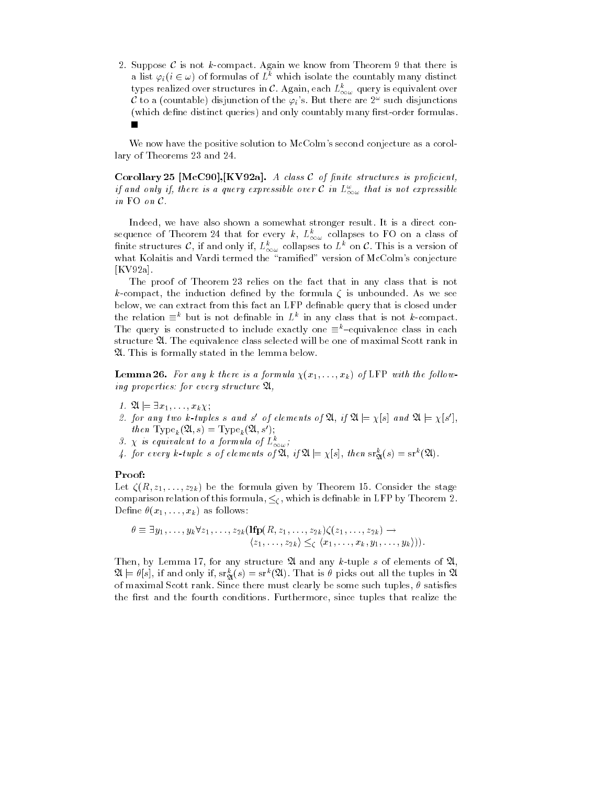2. Suppose C is not k-compact. Again we know from Theorem 9 that there is a list  $\varphi_i (i \in \omega)$  of formulas of  $L^k$  which isolate the countably many distinct types realized over structures in C. Again, each  $L_{\infty \omega}^{k}$  query is equivalent over C to a (countable) disjunction of the  $\varphi_i$ 's. But there are  $2^\omega$  such disjunctions which distinct distinct queries  $\mu$  many remains and  $\mu$  many results and only many resolutions.

We now have the positive solution to McColm's second conjecture as a corollary of Theorems 23 and 24.

**Corollary 25 [McC90], [KV92a].** A class C of finite structures is proficient, if and only if, there is a query expressible over  $\mathcal C$  in  $L^\omega_{\infty\omega}$  that is not expressible in FO on  $\mathcal{C}.$ 

Indeed we have also shown a somewhat stronger result- It is a direct con sequence of Theorem 24 that for every k,  $L_{\infty\omega}^{k}$  collapses to FO on a class of finite structures C, if and only if,  $L_{\infty\omega}^k$  collapses to  $L^k$  on C. This is a version of what Kolaitis and Vardi termed the "ramified" version of McColm's conjecture  $[KV92a]$ .

The proof of Theorem 23 relies on the fact that in any class that is not compact the induction dened by the induction density of the formula  $\mathcal{A}$ below, we can extract from this fact an LFP definable query that is closed under the relation  $\equiv^k$  but is not definable in  $L^k$  in any class that is not k-compact. The query is constructed to include exactly one  $\equiv^{k}$ -equivalence class in each structure  $\mathfrak A.$  The equivalence class selected will be one of maximal Scott rank in A- This is formally stated in the lemma below-

Lemma For any k there is a formula x - - -xk of LFP with the fol low ing properties: for every structure  $\mathfrak{A},$ 

- 1.  $\mathfrak{A} \models \exists x_1, \ldots, x_k \chi;$
- 2. for any two k-tuples s and s' of elements of  $\mathfrak{A}$ , if  $\mathfrak{A} \models \chi$  s and  $\mathfrak{A} \models \chi$  s'). then  $Type_k(\mathfrak{A}, s) = Type_k(\mathfrak{A}, s')$ ;
- 5.  $\chi$  is equivalent to a formula of  $L_{\infty\omega}^{\ast}$ ,
- 4. for every k-tuple s of elements of  $\mathfrak{A}, \text{ if } \mathfrak{A} \models \chi[s], \text{ then } \mathrm{sr}^k_{\mathfrak{A}}(s) = \mathrm{sr}^k(\mathfrak{A}).$

#### Proof

where the formula given by Theorem and Theorem agency with the state of the stage of the stage of the stage of comparison relation of this formula,  $\leq_\zeta$ , which is definable in LFP by Theorem 2. Dene x - - -xk as follows  $\begin{aligned} \text{Re}\ \theta(x_1, \ldots) \ \theta &\equiv \exists y_1, \ldots \end{aligned}$ 

$$
\theta \equiv \exists y_1, \ldots, y_k \forall z_1, \ldots, z_{2k} (\mathbf{Ifp}(R, z_1, \ldots, z_{2k}) \zeta(z_1, \ldots, z_{2k}) \rightarrow \langle z_1, \ldots, z_{2k} \rangle \leq \langle x_1, \ldots, x_k, y_1, \ldots, y_k \rangle)).
$$

Then, by Lemma 17, for any structure  $\mathfrak A$  and any k-tuple s of elements of  $\mathfrak A$ ,  $\mathfrak{A} \models \theta[s],$  if and only if,  $\mathrm{sr}^k_{\mathfrak{A}}(s) = \mathrm{sr}^k(\mathfrak{A}).$  That is  $\theta$  picks out all the tuples in  $\mathfrak{A}$ of maximal Scott rank--since there must clearly be some such tuples ( ) satisfied the root and the fourth conditions- the furthermore since the conditions- the realize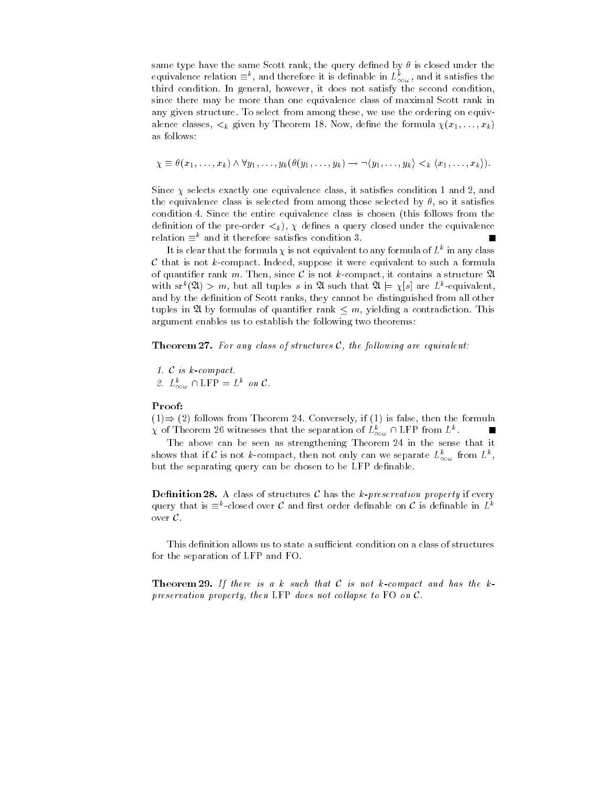equivalence relation  $\equiv^k$ , and therefore it is definable in  $L_{\infty\omega}^k$ , and it satisfies the third condition- In general however it does not satisfy the second condition since there may be more than one equivalence class of maximal Scott rank in any given structure- in structure-measuring these we use the ordering on equiv alence constant  $\lambda_{0}$  given by Theorem III is the formula constant  $\lambda_{1}$  -  $\lambda_{1}$  is  $\lambda_{1}$ as follows

s tollows:<br>  $\chi \equiv \theta(x_1, \ldots, x_k) \wedge \forall y_1, \ldots, y_k (\theta(y_1, \ldots, y_k) \rightarrow \neg \langle y_1, \ldots, y_k \rangle <_k \langle x_1, \ldots, x_k \rangle).$ 

Since  $\chi$  selects exactly one equivalence class, it satisfies condition 1 and 2, and the equivalence class is selected from among those selected by  $\theta$ , so it satisfies condition - Since the equivalence class is chosen this follows from the chosen this follows denition of the presence  $\mathcal{A}_{0}$  of density the equivalence and equivalence the equivalence relation  $\equiv^k$  and it therefore satisfies condition 3.

It is clear that the formula  $\chi$  is not equivalent to any formula of  $L^{\ast}$  in any class  $\mathcal C$  that is not k-compact. Indeed, suppose it were equivalent to such a formula of quantifier rank m. Then, since C is not k-compact, it contains a structure  $\mathfrak A$ with  $sr^{k}(\mathfrak{A}) > m$ , but all tuples s in  $\mathfrak{A}$  such that  $\mathfrak{A} \models \chi[s]$  are  $L^{k}$ -equivalent, and by the definition of Scott ranks, they cannot be distinguished from all other tuples in  $\mathfrak A$  by formulas of quantifier rank  $\leq m$ , yielding a contradiction. This argument enables us to establish the following two theorems

**Theorem 27.** For any class of structures  $C$ , the following are equivalent:

- 1.  $C$  is  $k$ -compact.
- 2.  $L_{\infty}^k \cap \mathrm{LFP} = L^k$  on C.

#### Proof:

 $f(1) \Rightarrow f(2)$  follows from Theorem 24. Conversely, if (1) is false, then the formula  $\chi$  of Theorem 26 witnesses that the separation of  $L_{\infty}^k$   $\cap$  LFP from  $L^k$ .

The above can be seen as strengthening Theorem 24 in the sense that it shows that if C is not k-compact, then not only can we separate  $L_{\infty}^k$  from  $L^k$ , but the separating query can be chosen to be LFP definable.

**Definition 28.** A class of structures C has the k-preservation property if every query that is  $\equiv^k$ -closed over C and first order definable on C is definable in  $L^k$ over  $\mathcal{C}$ .

This definition allows us to state a sufficient condition on a class of structures for the separation of LFP and FO-

**Theorem 29.** If there is a k such that  $C$  is not k-compact and has the kpreservation property, then LFP does not collapse to FO on  $\mathcal{C}$ .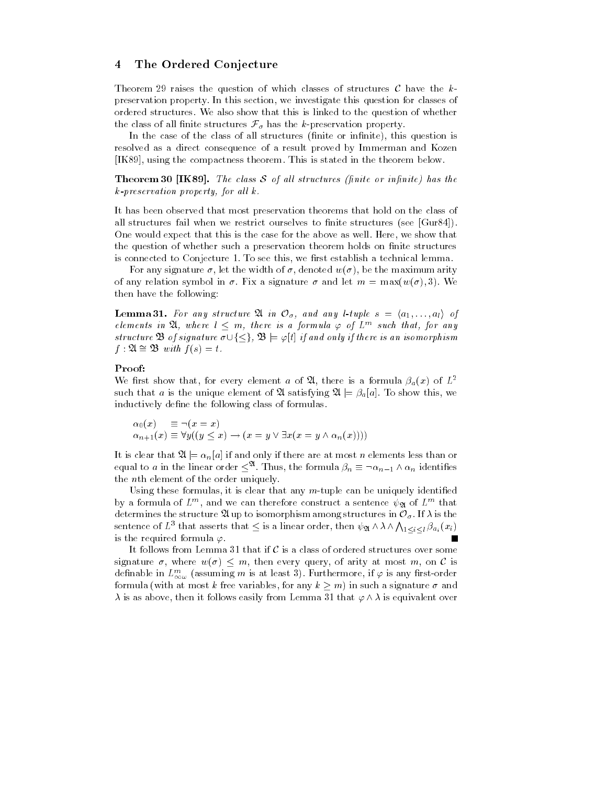#### 4 The Ordered Conjecture

Theorem 29 raises the question of which classes of structures  $\mathcal C$  have the kpreservation property-matrixed accessing the increased mission preservation classes of the ordered structures- We also show that this is linked to the question of whether the class of all finite structures  $\mathcal{F}_{\sigma}$  has the k-preservation property.

In the case of the class of all structures (finite or infinite), this question is resolved as a direct consequence of a result proved by Immerman and Kozen IK using the compactness theorem- This is stated in the theorem below-

**Theorem 30 [IK89].** The class S of all structures (finite or infinite) has the k-preservation property, for all  $k$ .

It has been observed that most preservation theorems that hold on the class of all structures fail when we restrict ourselves to finite structures (see [Gur84]). One would expect that these sources for the above as well-the well-metally well-metallicated the question of whether such a preservation theorem holds on finite structures is connected to conjecture at as we this weak, we also we receive a technical lemma-

For any signature  $\sigma$ , let the width of  $\sigma$ , denoted  $w(\sigma)$ , be the maximum arity of any fix and symbol in the contract material in an and let  $\alpha$  is a signature of  $\alpha$  , and  $\alpha$ then have the following

**Lemma 31.** For any structure  $\mathfrak{A}$  in  $\mathcal{O}_{\sigma}$ , and any *l*-tuple  $s = \langle a_1, \ldots, a_l \rangle$  of elements in  $\mathfrak{A}$ , where  $l \leq m$ , there is a formula  $\varphi$  of  $L^m$  such that, for any structure  ${\mathfrak B}$  of signature  $\sigma\cup\{\leq\},\,{\mathfrak B} \models\varphi[t]$  if and only if there is an isomorphism  $f: \mathfrak{A} \cong \mathfrak{B}$  with  $f(s) = t$ .

#### Proof:

We first show that, for every element a of  $\mathfrak{A}$ , there is a formula  $\beta_a(x)$  of  $L^2$ such that a is the unique element of  $\mathfrak A$  satisfying  $\mathfrak A \models \beta_a[a]$ . To show this, we inductively dene the following class of formulas-

$$
\alpha_0(x) \equiv \neg(x = x)
$$
  
\n
$$
\alpha_{n+1}(x) \equiv \forall y((y \le x) \rightarrow (x = y \lor \exists x(x = y \land \alpha_n(x))))
$$

It is clear that  $\mathfrak{A} \models \alpha_n[i]$  if and only if there are at most n elements less than or It is clear that  $\mathfrak{A} \models \alpha_n[a]$  if and only if there are at most *n* elements less than or<br>equal to *a* in the linear order  $\leq^{\mathfrak{A}}$ . Thus, the formula  $\beta_n \equiv \neg \alpha_{n-1} \wedge \alpha_n$  identifies the *nth* element of the order uniquely.

Using these formulas it is clear that any m tuple can be uniquely identied by a formula of  $L^m$ , and we can therefore construct a sentence  $\psi_{\mathfrak{A}}$  of  $L^m$  that determines the structure  $\mathfrak A$  up to isomorphism among structures in  ${\mathcal O}_\sigma.$  If  $\lambda$  is the sentence of  $L^3$  that asserts that  $\leq$  is a linear order, then  $\psi_{\mathfrak{A}} \wedge \lambda \wedge \bigwedge_{1 \leq i \leq l} \beta_{a_i}(x_i)$ is the required formula  $\varphi$ .

It follows from Lemma 31 that if  $C$  is a class of ordered structures over some signature  $\sigma$ , where  $w(\sigma) \leq m$ , then every query, of arity at most m, on C is denhable in  $L_{\infty \omega}^{\infty}$  (assuming  $m$  is at least 5). Furthermore, if  $\varphi$  is any first-order formula (with at most  $k$  free variables, for any  $k \geq m)$  in such a signature  $\sigma$  and  $\lambda$  is as above, then it follows easily from Lemma 31 that  $\varphi \wedge \lambda$  is equivalent over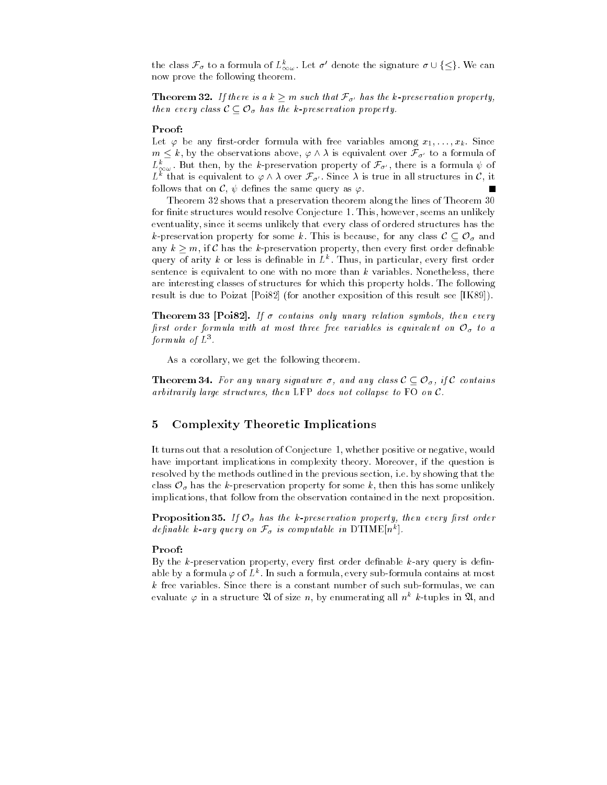the class  $\mathcal{F}_{\sigma}$  to a formula of  $L^k_{\infty \omega}$ . Let  $\sigma'$  denote the signature  $\sigma \cup \{\leq\}$ . We can now prove the following theorem-

**Theorem 32.** If there is a  $k \geq m$  such that  $\mathcal{F}_{\sigma'}$  has the k-preservation property, then every class  $\mathcal{C} \subset \mathcal{O}_{\sigma}$  has the k-preservation property.

#### Proof

and the angle with free variables are variables among with  $\alpha$  -file  $\mu$  , with  $\alpha$  $m \leq k$ , by the observations above,  $\varphi \wedge \lambda$  is equivalent over  $\mathcal{F}_{\sigma'}$  to a formula of  $L_{\infty\omega}^k$ . But then, by the k-preservation property of  $\mathcal{F}_{\sigma'}$ , there is a formula  $\psi$  of  $L^k$  that is equivalent to  $\varphi \wedge \lambda$  over  $\mathcal{F}_{\sigma'}$ . Since  $\lambda$  is true in all structures in  $\mathcal{C}$ , it follows that on  $\mathcal{C}, \psi$  defines the same query as  $\varphi$ .

Theorem 32 shows that a preservation theorem along the lines of Theorem 30 for nite structures would resolve Conjecture - This however seems an unlikely eventuality, since it seems unlikely that every class of ordered structures has the k-preservation property for some k. This is because, for any class  $\mathcal{C} \subset \mathcal{O}_{\sigma}$  and any  $k > m$ , if C has the k-preservation property, then every first order definable query of arity  $\kappa$  or less is definable in  $L^{\ast}$  . Thus, in particular, every first order sentence is equivalent to one with no more than k variables- Nonetheless there are interesting classes of structures for which this property holds- The following result is due to Poizat  $\lceil \text{Poi} 82 \rceil$  (for another exposition of this result see  $\lceil \text{IK} 89 \rceil$ ).

 $\boldsymbol{u}$  and every unary relation symbols then every relation symbols then every relation symbols then every relation  $\boldsymbol{u}$ first order formula with at most three free variables is equivalent on  $\mathcal{O}_{\sigma}$  to a formula of L--

As a corollary, we get the following theorem.

**Theorem 34.** For any unary signature  $\sigma$ , and any class  $\mathcal{C} \subset \mathcal{O}_{\sigma}$ , if C contains arbitrarily large structures, then LFP does not collapse to FO on  $\mathcal{C}.$ 

#### $\overline{5}$ Complexity Theoretic Implications

It turns out that a resolution of Conjecture 1, whether positive or negative, would have important implications in complexity theory- Moreover if the question is resolved by the methods outlined in the previous section i-e- by showing that the class  $\mathcal{O}_{\sigma}$  has the k-preservation property for some k, then this has some unlikely implications that follow from the observation contained in the next proposition-

**Proposition 35.** If  $\mathcal{O}_{\sigma}$  has the k-preservation property, then every first order definable k-ary query on  $\mathcal{F}_{\sigma}$  is computable in DTIME $[n^k]$ .

#### Proof

By the k preservation property every rst order denable k ary query is den able by a formula  $\varphi$  of  $L^+$  . In such a formula, every sub-formula contains at most k free variables- Since there is a constant number of such sub formulas we can evaluate  $\varphi$  in a structure  $\mathfrak A$  of size n, by enumerating all  $n^k$  k-tuples in  $\mathfrak A$ , and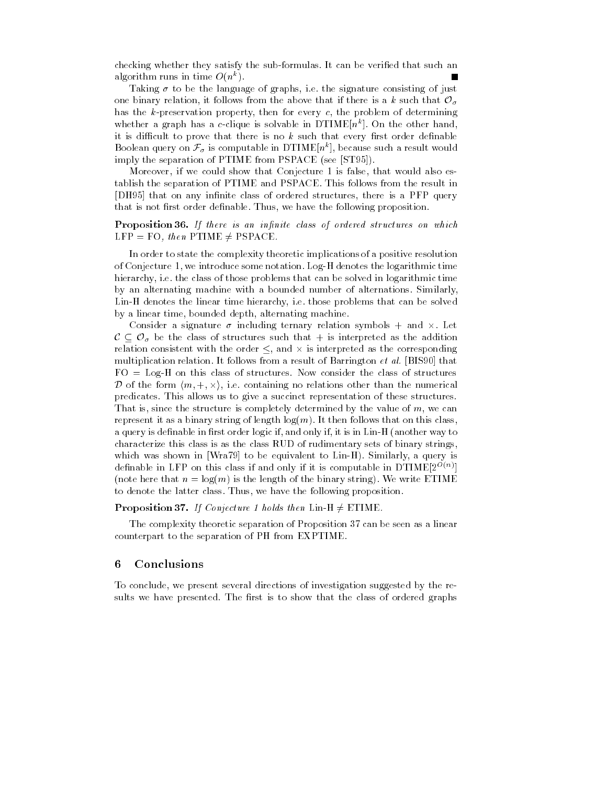checking whether they satisfy the sub formulas- It can be veried that such an algorithm runs in time  $O(n^{\kappa})$ .

Taking to be the language of graphs i-e- the signature consisting of just one binary relation, it follows from the above that if there is a k such that  $\mathcal{O}_{\sigma}$ has the k preservation property then for every c the problem of determining whether a graph has a c-clique is solvable in  $D$ TIME $|n^+|$ . On the other hand, it is difficult to prove that there is no  $k$  such that every first order definable Boolean query on  $\mathcal{F}_{\sigma}$  is computable in  $\mathrm{DTIME}[n^k]$ , because such a result would imply the separation of PTIME from PSPACE (see  $ST95$ ).

Moreover, if we could show that Conjecture 1 is false, that would also establish the separation of PTIME and PSPACE- This follows from the result in [DH95] that on any infinite class of ordered structures, there is a PFP query that is not rst order denable- Thus we have the following proposition-

**Proposition 36.** If there is an infinite class of ordered structures on which  $\text{LFP} = \text{FO}, \text{ then } \text{PTIME} \neq \text{PSPACE}.$ 

In order to state the complexity theoretic implications of a positive resolution of conjecture in the control some notation-interaction-interaction-interaction-interactionhierarchy i-e- the class of those problems that can be solved in logarithmic time by an alternating machine with a bounded number of alternations- Similarly Lin H denotes the linear time hierarchy i-e- those problems that can be solved by a linear time, bounded depth, alternating machine.

Consider a signature  $\sigma$  including ternary relation symbols + and  $\times$ . Let  $\mathcal{C} \subset \mathcal{O}_{\sigma}$  be the class of structures such that  $+$  is interpreted as the addition relation consistent with the order  $\leq$ , and  $\times$  is interpreted as the corresponding multiplication-between relation-services from a result of Barrington et al- $\Gamma$  . This consider the class of structures-the class of structures-the class of structures-the class of structures D of the form  $\langle m, +, \times \rangle$ , i.e. containing no relations other than the numerical predicates-dicates-dicates-dicates-dicates-dicates-dicates-dicates-dicates-dicates-dicates-dicates-dicates-dicates-That is, since the structure is completely determined by the value of  $m$ , we can represent it as a binary string of length logical logical class that can construct a query is denable in rst order logic if and only if it is in Lin H another way to characterize this class is as the class RUD of rudimentary sets of binary strings which was shown in Wra to to be equivalent to Link and the Community of Greek, the denhable in LFP on this class if and only if it is computable in  $\mathrm{D}\Pi\mathrm{M}\mathrm{E}[Z^{\pm\vee\cdots}]$  $\mathbf{u}$  is the logic intervals that no the binary string-binary string-binary string-binary string-binary string-binary string-binary string-binary string-binary string-binary string-binary string-binary string-binary st

**Proposition 37.** If Conjecture 1 holds then  $\text{Lin-H} \neq \text{ETHME}$ .

to denote the latter class- Thus we have the following proposition-

The complexity theoretic separation of Proposition 37 can be seen as a linear counterpart to the separation of PH from EXPTIME-

#### 6 Conclusions

To conclude we present several directions of investigation suggested by the re sults we have presented-mail which the class of order class of ordered graphs.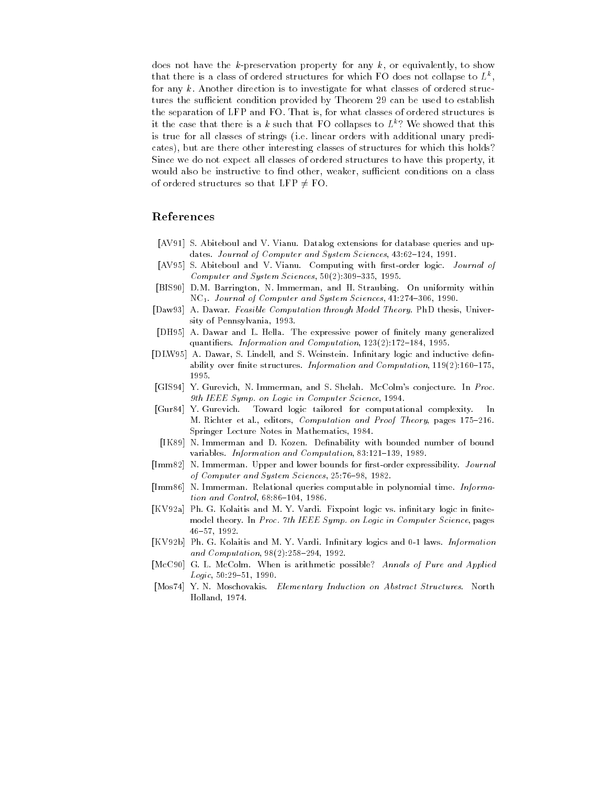does not have the k preservation property for any k or equivalently to show that there is a class of ordered structures for which FO does not collapse to  $L^{\ast}$  , for any k- Another direction is to investigate for what classes of ordered struc tures the sufficient condition provided by Theorem 29 can be used to establish the separation of LFP and FO-P and FO-P and FO-P and FO-P and FO-P and FO-P and FO-P and FO-P and FO-P and FOit the case that there is a k such that FO collapses to  $L^k$ ? We showed that this is true for all classes of strings i-e- linear orders with additional unary predi cates), but are there other interesting classes of structures for which this holds? Since we do not expect all classes of ordered structures to have this property it would also be instructive to find other, weaker, sufficient conditions on a class of ordered structures so that LFP  $\neq$  FO.

## References

- [AV91] S. Abiteboul and V. Vianu. Datalog extensions for database queries and updates Journal of Computer and System System System System System System System System System System System System System System System System System System System System System System System System System System System Sy
- Av S Abiteboul and V Vianual  $\mathbf{I}$  and V Vianual of Vianual of Vianual of Vianual of Vianual of Vianual of Vianual of Vianual of Vianual of Vianual of Vianual of Vianual of Vianual of Vianual of Vianual of Vianual of V computer and system serventers and present and server
- [BIS90] D.M. Barrington, N. Immerman, and H. Straubing. On uniformity within  $N$  and  $N$  and  $N$  and System System System System System System System System System System System System System System System System System System System System System System System System System System System System S
- [Daw93] A. Dawar. Feasible Computation through Model Theory. PhD thesis, University of Pennsylvania
- [DH95] A. Dawar and L. Hella. The expressive power of finitely many generalized quanti ers Information and Computation ---
- [DLW95] A. Dawar, S. Lindell, and S. Weinstein. Infinitary logic and inductive definability over  $\mathcal{A}$  . The structures Information and Computation and Computation and Computation and Computation and Computation and Computation and Computation and Computation and Computation and Computation and Comput 1995.
- [GIS94] Y. Gurevich, N. Immerman, and S. Shelah. McColm's conjecture. In Proc. -th IEEE Symp on Logic in Computer Science
- [Gur84] Y. Gurevich. Toward logic tailored for computational complexity. In m richter et al editors computation and Proof Theory pages Its Proof Springer Lecture Notes in Mathematics
- [IK89] N. Immerman and D. Kozen. Definability with bounded number of bound variables information and Computation - Computation - Computation - Computation - Computation - Computation -
- Imm-corder bounds for and lower bounds for  $\mathbf{u}$ of  $\sim$  -system system system system system system system system system system system system system system system system system system system system system system system system system system system system system system sy
- [Imm86] N. Immerman. Relational queries computable in polynomial time. Information and Control, 68:86-104, 1986.
- a Ph G Kolaitis and M Y Variation in M Y Variation in M Y Variation in M Y Variation in M Y Variation in M Y V model theory. In Proc. 7th IEEE Symp. on Logic in Computer Science, pages the contract of the contract of the contract of the contract of the contract of the contract of the contract o
- KV-b Ph G Kolaitis and M Y Vardi In nitary logics and laws Information and Computation --- -
- [McC90] G. L. McColm. When is arithmetic possible? Annals of Pure and Applied Logical contracts and contracts are a series of the contracts of the contracts of the contracts of the contracts of
- [Mos74] Y. N. Moschovakis. Elementary Induction on Abstract Structures. North Holland, 1974.